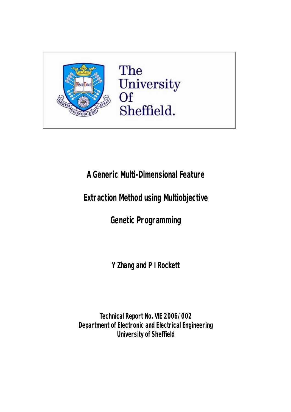

The University<br>Of Sheffield.

**A Generic Multi-Dimensional Feature** 

**Extraction Method using Multiobjective** 

**Genetic Programming** 

**Y Zhang and P I Rockett** 

**Technical Report No. VIE 2006/002 Department ofElectronic and ElectricalEngineering University of Sheffield**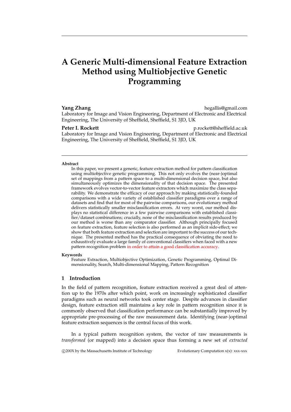# **A Generic Multi-dimensional Feature Extraction Method using Multiobjective Genetic Programming**

# **Yang Zhang hegallis@gmail.com** Laboratory for Image and Vision Engineering, Department of Electronic and Electrical Engineering, The University of Sheffield, Sheffield, S1 3JD, UK

**Peter I. Rockett p.rockett@sheffield.ac.uk** Laboratory for Image and Vision Engineering, Department of Electronic and Electrical Engineering, The University of Sheffield, Sheffield, S1 3JD, UK

#### **Abstract**

In this paper, we present a generic, feature extraction method for pattern classification using multiobjective genetic programming. This not only evolves the (near-)optimal set of mappings from a pattern space to a multi-dimensional decision space, but also simultaneously optimizes the dimensionality of that decision space. The presented framework evolves vector-to-vector feature extractors which maximize the class separability. We demonstrate the efficacy of our approach by making statistically-founded comparisons with a wide variety of established classifier paradigms over a range of datasets and find that for most of the pairwise comparisons, our evolutionary method delivers statistically smaller misclassification errors. At very worst, our method displays no statistical difference in a few pairwise comparisons with established classifier/dataset combinations; crucially, none of the misclassification results produced by our method is worse than any comparator classifier. Although principally focused on feature extraction, feature selection is also performed as an implicit side-effect; we show that both feature extraction and selection are important to the success of our technique. The presented method has the practical consequence of obviating the need to exhaustively evaluate a large family of conventional classifiers when faced with a new pattern recognition problem in order to attain a good classification accuracy.

#### **Keywords**

Feature Extraction, Multiobjective Optimization, Genetic Programming, Optimal Dimensionality, Search, Multi-dimensional Mapping, Pattern Recognition

## **1 Introduction**

In the field of pattern recognition, feature extraction received a great deal of attention up to the 1970s after which point, work on increasingly sophisticated classifier paradigms such as neural networks took center stage. Despite advances in classifier design, feature extraction still maintains a key role in pattern recognition since it is commonly observed that classification performance can be substantially improved by appropriate pre-processing of the raw measurement data. Identifying (near-)optimal feature extraction sequences is the central focus of this work.

In a typical pattern recognition system, the vector of raw measurements is *transformed* (or mapped) into a decision space thus forming a new set of *extracted*

c 200X by the Massachusetts Institute of Technology Evolutionary Computation x(x): xxx-xxx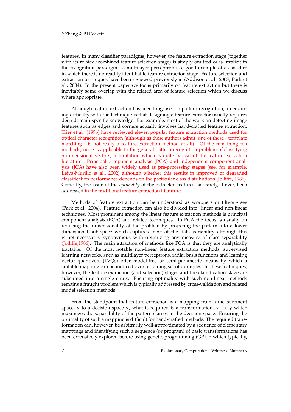### Y.Zhang & P.I.Rockett

features. In many classifier paradigms, however, the feature extraction stage (together with its related/combined feature selection stage) is simply omitted or is implicit in the recognition paradigm - a multilayer perceptron is a good example of a classifier in which there is no readily identifiable feature extraction stage. Feature selection and extraction techniques have been reviewed previously in (Addison et al., 2003; Park et al., 2004). In the present paper we focus primarily on feature extraction but there is inevitably some overlap with the related area of feature selection which we discuss where appropriate.

Although feature extraction has been long-used in pattern recognition, an enduring difficulty with the technique is that designing a feature extractor usually requires deep domain-specific knowledge. For example, most of the work on detecting image features such as edges and corners actually involves hand-crafted feature extraction. Trier et al. (1996) have reviewed eleven popular feature extraction methods used for optical character recognition (although as these authors admit, one of these - template matching - is not really a feature extraction method at all). Of the remaining ten methods, none is applicable to the general pattern recognition problem of classifying *n*-dimensional vectors, a limitation which is quite typical of the feature extraction literature. Principal component analysis (PCA) and independent component analysis (ICA) have also been widely used as pre-processing stages (see, for example, Leiva-Murillo et al., 2002) although whether this results in improved or degraded classification performance depends on the particular class distributions (Jolliffe, 1986). Critically, the issue of the *optimality* of the extracted features has rarely, if ever, been addressed in the traditional feature extraction literature.

Methods of feature extraction can be understood as wrappers or filters - see (Park et al., 2004). Feature extraction can also be divided into: linear and non-linear techniques. Most prominent among the linear feature extraction methods is principal component analysis (PCA) and related techniques. In PCA the focus is usually on reducing the dimensionality of the problem by projecting the pattern into a lower dimensional sub-space which captures most of the data variability although this is not necessarily synonymous with optimizing any measure of class separability (Jolliffe,1986). The main attraction of methods like PCA is that they are analytically tractable. Of the most notable non-linear feature extraction methods, supervised learning networks, such as multilayer perceptrons, radial basis functions and learning vector quantizers (LVQs) offer model-free or semi-parametric means by which a suitable mapping can be induced over a training set of examples. In these techniques, however, the feature extraction (and selection) stages and the classification stage are subsumed into a single entity. Ensuring optimality with such non-linear methods remains a fraught problem which is typically addressed by cross-validation and related model selection methods.

From the standpoint that feature extraction is a mapping from a measurement space, x to a decision space y, what is required is a transformation,  $x \rightarrow y$  which maximizes the separability of the pattern classes in the decision space. Ensuring the optimality of such a mapping is difficult for hand-crafted methods. The required transformation can, however, be arbitrarily well-approximated by a sequence of elementary mappings and identifying such a sequence (or program) of basic transformations has been extensively explored before using genetic programming (GP) in which typically,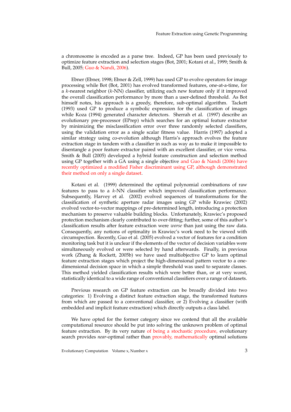a chromosome is encoded as a parse tree. Indeed, GP has been used previously to optimize feature extraction and selection stages (Bot, 2001; Kotani et al., 1999; Smith & Bull, 2005; Guo & Nandi, 2006).

Ebner (Ebner, 1998; Ebner & Zell, 1999) has used GP to evolve operators for image processing while Bot (Bot, 2001) has evolved transformed features, one-at-a-time, for a  $k$ -nearest neighbor  $(k-NN)$  classifier, utilizing each new feature only if it improved the overall classification performance by more than a user-defined threshold. As Bot himself notes, his approach is a greedy, therefore, sub-optimal algorithm. Tackett (1993) used GP to produce a symbolic expression for the classification of images while Koza (1994) generated character detectors. Sherrah et al. (1997) describe an evolutionary pre-processor (EPrep) which searches for an optimal feature extractor by minimizing the misclassification error over three randomly selected classifiers, using the validation error as a single scalar fitness value. Harris (1997) adopted a similar strategy using co-evolution although Harris's approach evolves the feature extraction stage in tandem with a classifier in such as way as to make it impossible to disentangle a poor feature extractor paired with an excellent classifier, or vice versa. Smith & Bull (2005) developed a hybrid feature construction and selection method using GP together with a GA using a single objective and Guo & Nandi (2006) have recently optimized a modified Fisher discriminant using GP, although demonstrated their method on only a single dataset.

Kotani et al. (1999) determined the optimal polynomial combinations of raw features to pass to a k-NN classifier which improved classification performance. Subsequently, Harvey et al. (2002) evolved sequences of transformations for the classification of synthetic aperture radar images using GP while Krawiec (2002) evolved vector-to-vector mappings of pre-determined length, introducing a protection mechanism to preserve valuable building blocks. Unfortunately, Krawiec's proposed protection mechanism clearly contributed to over-fitting; further, some of this author's classification results after feature extraction were *worse* than just using the raw data. Consequently, any notions of optimality in Krawiec's work need to be viewed with circumspection. Recently, Guo et al. (2005) evolved a vector of features for a condition monitoring task but it is unclear if the elements of the vector of decision variables were simultaneously evolved or were selected by hand afterwards. Finally, in previous work (Zhang & Rockett, 2005b) we have used multiobjective GP to learn optimal feature extraction stages which project the high-dimensional pattern vector to a onedimensional decision space in which a simple threshold was used to separate classes. This method yielded classification results which were better than, or at very worst, statistically identical to a wide range of conventional classifiers over a range of datasets.

Previous research on GP feature extraction can be broadly divided into two categories: 1) Evolving a distinct feature extraction stage, the transformed features from which are passed to a conventional classifier, or 2) Evolving a classifier (with embedded and implicit feature extraction) which directly outputs a class label.

We have opted for the former category since we contend that all the available computational resource should be put into solving the unknown problem of optimal feature extraction. By its very nature of being a stochastic procedure, evolutionary search provides *near*-optimal rather than provably, mathematically optimal solutions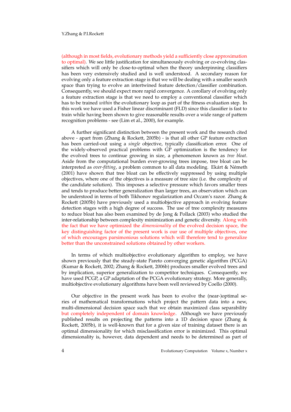### Y.Zhang & P.I.Rockett

(although in most fields, evolutionary methods yield a sufficiently close approximation to optimal). We see little justification for simultaneously evolving or co-evolving classifiers which will only be close-to-optimal when the theory underpinning classifiers has been very extensively studied and is well understood. A secondary reason for evolving only a feature extraction stage is that we will be dealing with a smaller search space than trying to evolve an intertwined feature detection/classifier combination. Consequently, we should expect more rapid convergence. A corollary of evolving only a feature extraction stage is that we need to employ a conventional classifier which has to be trained *within* the evolutionary loop as part of the fitness evaluation step. In this work we have used a Fisher linear discriminant (FLD) since this classifier is fast to train while having been shown to give reasonable results over a wide range of pattern recognition problems - see (Lim et al., 2000), for example.

A further significant distinction between the present work and the research cited above - apart from (Zhang & Rockett, 2005b) - is that all other GP feature extraction has been carried-out using a *single* objective, typically classification error. One of the widely-observed practical problems with GP optimization is the tendency for the evolved trees to continue growing in size, a phenomenon known as *tree bloat*. Aside from the computational burden ever-growing trees impose, tree bloat can be interpreted as *over-fitting*, a problem common to all data modeling. Ekart & Németh (2001) have shown that tree bloat can be effectively suppressed by using multiple objectives, where one of the objectives is a measure of tree size (i.e. the complexity of the candidate solution). This imposes a selective pressure which favors smaller trees and tends to produce better generalization than larger trees, an observation which can be understood in terms of both Tikhonov regularization and Occam's razor. Zhang & Rockett (2005b) have previously used a multiobjective approach in evolving feature detection stages with a high degree of success. The use of tree complexity measures to reduce bloat has also been examined by de Jong & Pollack (2003) who studied the inter-relationship between complexity minimization and genetic diversity. Along with the fact that we have optimized the *dimensionality* of the evolved decision space, the key distinguishing factor of the present work is our use of multiple objectives, one of which encourages parsimonious solutions which will therefore tend to generalize better than the unconstrained solutions obtained by other workers.

In terms of which multiobjective evolutionary algorithm to employ, we have shown previously that the steady-state Pareto converging genetic algorithm (PCGA) (Kumar & Rockett, 2002; Zhang & Rockett, 2006b) produces smaller evolved trees and by implication, superior generalization to competitor techniques. Consequently, we have used PCGP, a GP adaptation of the PCGA evolutionary strategy. More generally, multiobjective evolutionary algorithms have been well reviewed by Coello (2000).

Our objective in the present work has been to evolve the (near-)optimal series of mathematical transformations which project the pattern data into a new, multi-dimensional decision space such that we obtain maximized class separability but completely independent of domain knowledge. Although we have previously published results on projecting the patterns into a 1D decision space (Zhang & Rockett, 2005b), it is well-known that for a given size of training dataset there is an optimal dimensionality for which misclassification error is minimized. This optimal dimensionality is, however, data dependent and needs to be determined as part of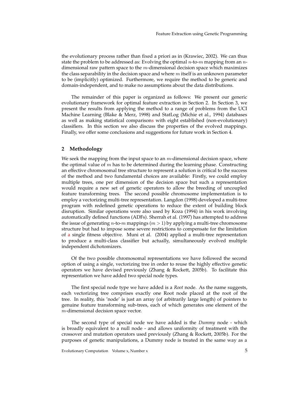the evolutionary process rather than fixed a priori as in (Krawiec, 2002). We can thus state the problem to be addressed as: Evolving the optimal *n*-to-*m* mapping from an *n*dimensional raw pattern space to the  $m$ -dimensional decision space which maximizes the class separability in the decision space and where  $m$  itself is an unknown parameter to be (implicitly) optimized. Furthermore, we require the method to be generic and domain-independent, and to make no assumptions about the data distributions.

The remainder of this paper is organized as follows: We present our generic evolutionary framework for optimal feature extraction in Section 2. In Section 3, we present the results from applying the method to a range of problems from the UCI Machine Learning (Blake & Merz, 1998) and StatLog (Michie et al., 1994) databases as well as making statistical comparisons with eight established (non-evolutionary) classifiers. In this section we also discuss the properties of the evolved mappings. Finally, we offer some conclusions and suggestions for future work in Section 4.

## **2 Methodology**

We seek the mapping from the input space to an  $m$ -dimensional decision space, where the optimal value of  $m$  has to be determined during the learning phase. Constructing an effective chromosomal tree structure to represent a solution is critical to the success of the method and two fundamental choices are available: Firstly, we could employ multiple trees, one per dimension of the decision space but such a representation would require a new set of genetic operators to allow the breeding of uncoupled feature transforming trees. The second possible chromosome implementation is to employ a vectorizing multi-tree representation. Langdon (1998) developed a multi-tree program with redefined genetic operations to reduce the extent of building block disruption. Similar operations were also used by Koza (1994) in his work involving automatically defined functions (ADFs). Sherrah et al. (1997) has attempted to address the issue of generating  $n$ -to- $m$  mappings  $(m > 1)$  by applying a multi-tree chromosome structure but had to impose some severe restrictions to compensate for the limitation of a single fitness objective. Muni et al. (2004) applied a multi-tree representation to produce a multi-class classifier but actually, simultaneously evolved multiple independent dichotomizers.

Of the two possible chromosomal representations we have followed the second option of using a single, vectorizing tree in order to reuse the highly effective genetic operators we have devised previously (Zhang & Rockett, 2005b). To facilitate this representation we have added two special node types.

The first special node type we have added is a *Root* node. As the name suggests, each vectorizing tree comprises exactly one Root node placed at the root of the tree. In reality, this 'node' is just an array (of arbitrarily large length) of pointers to genuine feature transforming sub-trees, each of which generates one element of the m-dimensional decision space vector.

The second type of special node we have added is the *Dummy* node - which is broadly equivalent to a null node - and allows uniformity of treatment with the crossover and mutation operators used previously (Zhang & Rockett, 2005b). For the purposes of genetic manipulations, a Dummy node is treated in the same way as a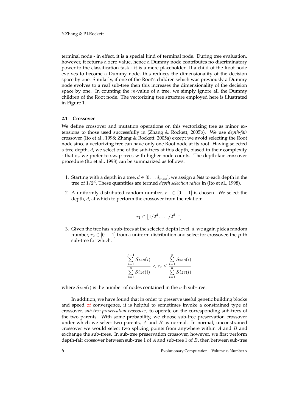terminal node - in effect, it is a special kind of terminal node. During tree evaluation, however, it returns a zero value, hence a Dummy node contributes no discriminatory power to the classification task - it is a mere placeholder. If a child of the Root node evolves to become a Dummy node, this reduces the dimensionality of the decision space by one. Similarly, if one of the Root's children which was previously a Dummy node evolves to a real sub-tree then this increases the dimensionality of the decision space by one. In counting the *m*-value of a tree, we simply ignore all the Dummy children of the Root node. The vectorizing tree structure employed here is illustrated in Figure 1.

## **2.1 Crossover**

We define crossover and mutation operations on this vectorizing tree as minor extensions to those used successfully in (Zhang & Rockett, 2005b). We use *depth-fair* crossover (Ito et al., 1998; Zhang & Rockett, 2005a) except we avoid selecting the Root node since a vectorizing tree can have only one Root node at its root. Having selected a tree depth, d, we select one of the sub-trees at this depth, biased in their complexity - that is, we prefer to swap trees with higher node counts. The depth-fair crossover procedure (Ito et al., 1998) can be summarized as follows:

- 1. Starting with a depth in a tree,  $d \in [0 \dots d_{max}]$ , we assign a *bias* to each depth in the tree of 1/2d. These quantities are termed *depth selection ratios* in (Ito et al., 1998).
- 2. A uniformly distributed random number,  $r_1 \in [0 \dots 1]$  is chosen. We select the depth, *d*, at which to perform the crossover from the relation:

$$
r_1 \in \left[1/2^d \dots 1/2^{d-1}\right]
$$

3. Given the tree has  $n$  sub-trees at the selected depth level,  $d$ , we again pick a random number,  $r_2 \in [0 \dots 1]$  from a uniform distribution and select for crossover, the p-th sub-tree for which:

$$
\frac{\sum\limits_{i=1}^{p-1}Size(i)}{\sum\limits_{i=1}^{n} Size(i)} < r_2 \leq \frac{\sum\limits_{i=1}^{p} Size(i)}{\sum\limits_{i=1}^{n} Size(i)}
$$

where  $Size(i)$  is the number of nodes contained in the *i*-th sub-tree.

In addition, we have found that in order to preserve useful genetic building blocks and speed of convergence, it is helpful to sometimes invoke a constrained type of crossover, *sub-tree preservation crossover*, to operate on the corresponding sub-trees of the two parents. With some probability, we choose sub-tree preservation crossover under which we select two parents,  $A$  and  $B$  as normal. In normal, unconstrained crossover we would select two splicing points from anywhere within A and B and exchange the sub-trees. In sub-tree preservation crossover, however, we first perform depth-fair crossover between sub-tree 1 of  $A$  and sub-tree 1 of  $B$ , then between sub-tree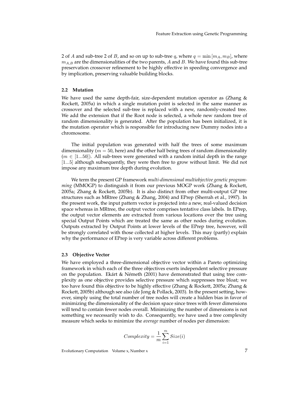2 of A and sub-tree 2 of B, and so on up to sub-tree q, where  $q = \min[m_A, m_B]$ , where  $m_{A,B}$  are the dimensionalities of the two parents, A and B. We have found this sub-tree preservation crossover refinement to be highly effective in speeding convergence and by implication, preserving valuable building blocks.

## **2.2 Mutation**

We have used the same depth-fair, size-dependent mutation operator as (Zhang & Rockett, 2005a) in which a single mutation point is selected in the same manner as crossover and the selected sub-tree is replaced with a new, randomly-created tree. We add the extension that if the Root node is selected, a whole new random tree of random dimensionality is generated. After the population has been initialized, it is the mutation operator which is responsible for introducing new Dummy nodes into a chromosome.

The initial population was generated with half the trees of some maximum dimensionality ( $m = 50$ , here) and the other half being trees of random dimensionality  $(m \in [1...50])$ . All sub-trees were generated with a random initial depth in the range [1...5] although subsequently, they were then free to grow without limit. We did not impose any maximum tree depth during evolution.

We term the present GP framework *multi-dimensional multiobjective genetic programming* (MMOGP) to distinguish it from our previous MOGP work (Zhang & Rockett, 2005a; Zhang & Rockett, 2005b). It is also distinct from other multi-output GP tree structures such as MRtree (Zhang & Zhang, 2004) and EPrep (Sherrah et al., 1997). In the present work, the input pattern vector is projected into a new, real-valued decision space whereas in MRtree, the output vector comprises tentative class labels. In EPrep, the output vector elements are extracted from various locations over the tree using special Output Points which are treated the same as other nodes during evolution. Outputs extracted by Output Points at lower levels of the EPrep tree, however, will be strongly correlated with those collected at higher levels. This may (partly) explain why the performance of EPrep is very variable across different problems.

## **2.3 Objective Vector**

We have employed a three-dimensional objective vector within a Pareto optimizing framework in which each of the three objectives exerts independent selective pressure on the population. Ekart & Németh (2001) have demonstrated that using tree complexity as one objective provides selective pressure which suppresses tree bloat; we too have found this objective to be highly effective (Zhang & Rockett, 2005a; Zhang & Rockett, 2005b) although see also (de Jong & Pollack, 2003). In the present setting, however, simply using the total number of tree nodes will create a hidden bias in favor of minimizing the dimensionality of the decision space since trees with fewer dimensions will tend to contain fewer nodes overall. Minimizing the number of dimensions is not something we necessarily wish to do. Consequently, we have used a tree complexity measure which seeks to minimize the *average* number of nodes per dimension:

$$
Complexity = \frac{1}{m} \sum_{i=1}^{m} Size(i)
$$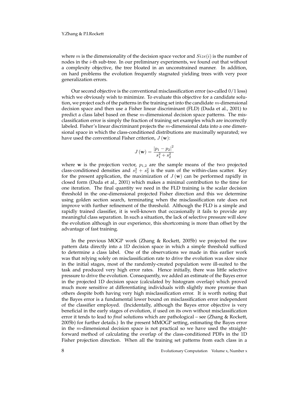### Y.Zhang & P.I.Rockett

where m is the dimensionality of the decision space vector and  $Size(i)$  is the number of nodes in the i-th sub-tree. In our preliminary experiments, we found out that without a complexity objective, the tree bloated in an unconstrained manner. In addition, on hard problems the evolution frequently stagnated yielding trees with very poor generalization errors.

Our second objective is the conventional misclassification error (so-called 0/1 loss) which we obviously wish to minimize. To evaluate this objective for a candidate solution, we project each of the patterns in the training set into the candidate  $m$ -dimensional decision space and then use a Fisher linear discriminant (FLD) (Duda et al., 2001) to predict a class label based on these  $m$ -dimensional decision space patterns. The misclassification error is simply the fraction of training set examples which are incorrectly labeled. Fisher's linear discriminant projects the  $m$ -dimensional data into a one dimensional space in which the class-conditioned distributions are maximally separated; we have used the conventional Fisher criterion,  $J(\mathbf{w})$ :

$$
J(\mathbf{w}) = \frac{|p_1 - p_2|^2}{s_1^2 + s_2^2}
$$

where  $w$  is the projection vector,  $p_{1,2}$  are the sample means of the two projected class-conditioned densities and  $s_1^2 + s_2^2$  is the sum of the within-class scatter. Key for the present application, the maximization of  $J(\mathbf{w})$  can be performed rapidly in closed form (Duda et al., 2001) which makes a minimal contribution to the time for one iteration. The final quantity we need in the FLD training is the scalar decision threshold in the one-dimensional projected Fisher direction and this we determine using golden section search, terminating when the misclassification rate does not improve with further refinement of the threshold. Although the FLD is a simple and rapidly trained classifier, it is well-known that occasionally it fails to provide any meaningful class separation. In such a situation, the lack of selective pressure will slow the evolution although in our experience, this shortcoming is more than offset by the advantage of fast training.

In the previous MOGP work (Zhang & Rockett, 2005b) we projected the raw pattern data directly into a 1D decision space in which a simple threshold sufficed to determine a class label. One of the observations we made in this earlier work was that relying solely on misclassification rate to drive the evolution was slow since in the initial stages, most of the randomly-created population were ill-suited to the task and produced very high error rates. Hence initially, there was little selective pressure to drive the evolution. Consequently, we added an estimate of the Bayes error in the projected 1D decision space (calculated by histogram overlap) which proved much more sensitive at differentiating individuals with slightly more promise than others despite both having very high misclassification error. It is worth noting that the Bayes error is a fundamental lower bound on misclassification error independent of the classifier employed. (Incidentally, although the Bayes error objective is very beneficial in the early stages of evolution, if used on its own without misclassification error it tends to lead to *final* solutions which are pathological – see (Zhang & Rockett, 2005b) for further details.) In the present MMOGP setting, estimating the Bayes error in the  $m$ -dimensional decision space is not practical so we have used the straightforward method of calculating the overlap of the class-conditioned PDFs in the 1D Fisher projection direction. When all the training set patterns from each class in a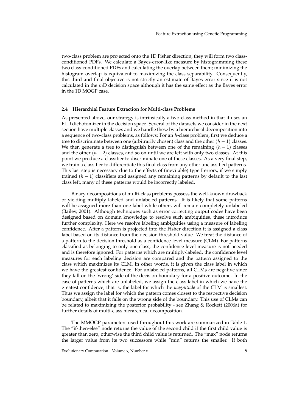two-class problem are projected onto the 1D Fisher direction, they will form two classconditioned PDFs. We calculate a Bayes-error-like measure by histogramming these two class-conditioned PDFs and calculating the overlap between them; minimizing the histogram overlap is equivalent to maximizing the class separability. Consequently, this third and final objective is not strictly an estimate of Bayes error since it is not calculated in the  $m<sub>D</sub>$  decision space although it has the same effect as the Bayes error in the 1D MOGP case.

## **2.4 Hierarchial Feature Extraction for Multi-class Problems**

As presented above, our strategy is intrinsically a two-class method in that it uses an FLD dichotomizer in the decision space. Several of the datasets we consider in the next section have multiple classes and we handle these by a hierarchical decomposition into a sequence of two-class problems, as follows: For an h-class problem, first we deduce a tree to discriminate between one (arbitrarily chosen) class and the other  $(h - 1)$  classes. We then generate a tree to distinguish between one of the remaining  $(h - 1)$  classes and the other  $(h - 2)$  classes, and so on until we are left with only two classes. At this point we produce a classifier to discriminate one of these classes. As a very final step, we train a classifier to differentiate this final class from any other unclassified patterns. This last step is necessary due to the effects of (inevitable) type I errors; if we simply trained  $(h - 1)$  classifiers and assigned any remaining patterns by default to the last class left, many of these patterns would be incorrectly labeled.

Binary decompositions of multi-class problems possess the well-known drawback of yielding multiply labeled and unlabeled patterns. It is likely that some patterns will be assigned more than one label while others will remain completely unlabeled (Bailey, 2001). Although techniques such as error correcting output codes have been designed based on domain knowledge to resolve such ambiguities, these introduce further complexity. Here we resolve labeling ambiguities using a measure of labeling confidence. After a pattern is projected into the Fisher direction it is assigned a class label based on its distance from the decision threshold value. We treat the distance of a pattern to the decision threshold as a confidence level measure (CLM). For patterns classified as belonging to only one class, the confidence level measure is not needed and is therefore ignored. For patterns which are multiply-labeled, the confidence level measures for each labeling decision are compared and the pattern assigned to the class which maximizes its CLM. In other words, it is given the class label in which we have the greatest confidence. For unlabeled patterns, all CLMs are negative since they fall on the 'wrong' side of the decision boundary for a positive outcome. In the case of patterns which are unlabeled, we assign the class label in which we have the greatest confidence; that is, the label for which the *magnitude* of the CLM is smallest. Thus we assign the label for which the pattern comes closest to the respective decision boundary, albeit that it falls on the wrong side of the boundary. This use of CLMs can be related to maximizing the posterior probability - see Zhang & Rockett (2006a) for further details of multi-class hierarchical decomposition.

The MMOGP parameters used throughout this work are summarized in Table 1. The "if-then-else" node returns the value of the second child if the first child value is greater than zero, otherwise the third child value is returned. The "max" node returns the larger value from its two successors while "min" returns the smaller. If both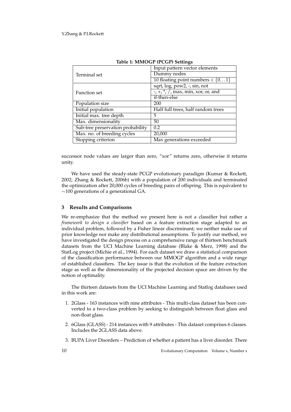|                                   | Input pattern vector elements                                                                                                                                                                                                                                                                                                   |
|-----------------------------------|---------------------------------------------------------------------------------------------------------------------------------------------------------------------------------------------------------------------------------------------------------------------------------------------------------------------------------|
| Terminal set                      | Dummy nodes                                                                                                                                                                                                                                                                                                                     |
|                                   | 10 floating point numbers $\in \{01\}$                                                                                                                                                                                                                                                                                          |
|                                   | sqrt, log, pow2, -, sin, not                                                                                                                                                                                                                                                                                                    |
| Function set                      | $\frac{1}{2}$ , $\frac{1}{2}$ , $\frac{1}{2}$ , $\frac{1}{2}$ , $\frac{1}{2}$ , $\frac{1}{2}$ , $\frac{1}{2}$ , $\frac{1}{2}$ , $\frac{1}{2}$ , $\frac{1}{2}$ , $\frac{1}{2}$ , $\frac{1}{2}$ , $\frac{1}{2}$ , $\frac{1}{2}$ , $\frac{1}{2}$ , $\frac{1}{2}$ , $\frac{1}{2}$ , $\frac{1}{2}$ , $\frac{1}{2}$ , $\frac{1}{2}$ , |
|                                   | if-then-else                                                                                                                                                                                                                                                                                                                    |
| Population size                   | 200                                                                                                                                                                                                                                                                                                                             |
| Initial population                | Half full trees, half random trees                                                                                                                                                                                                                                                                                              |
| Initial max. tree depth           | 5                                                                                                                                                                                                                                                                                                                               |
| Max. dimensionality               | 50                                                                                                                                                                                                                                                                                                                              |
| Sub-tree preservation probability | 0.2                                                                                                                                                                                                                                                                                                                             |
| Max. no. of breeding cycles       | 20,000                                                                                                                                                                                                                                                                                                                          |
| Stopping criterion                | Max generations exceeded                                                                                                                                                                                                                                                                                                        |

| Table 1: MMOGP (PCGP) Settings |  |
|--------------------------------|--|
|                                |  |

successor node values are larger than zero, "xor" returns zero, otherwise it returns unity.

We have used the steady-state PCGP evolutionary paradigm (Kumar & Rockett, 2002; Zhang & Rockett, 2006b) with a population of 200 individuals and terminated the optimization after 20,000 cycles of breeding pairs of offspring. This is equivalent to ∼100 generations of a generational GA.

## **3 Results and Comparisons**

We re-emphasize that the method we present here is not a classifier but rather a *framework to design a classifier* based on a feature extraction stage adapted to an individual problem, followed by a Fisher linear discriminant; we neither make use of prior knowledge nor make any distributional assumptions. To justify our method, we have investigated the design process on a comprehensive range of thirteen benchmark datasets from the UCI Machine Learning database (Blake & Merz, 1998) and the StatLog project (Michie et al., 1994). For each dataset we draw a statistical comparison of the classification performance between our MMOGP algorithm and a wide range of established classifiers. The key issue is that the evolution of the feature extraction stage as well as the dimensionality of the projected decision space are driven by the notion of optimality.

The thirteen datasets from the UCI Machine Learning and Statlog databases used in this work are:

- 1. 2Glass 163 instances with nine attributes This multi-class dataset has been converted to a two-class problem by seeking to distinguish between float glass and non-float glass.
- 2. 6Glass (GLASS) 214 instances with 9 attributes This dataset comprises 6 classes. Includes the 2GLASS data above.
- 3. BUPA Liver Disorders Prediction of whether a patient has a liver disorder. There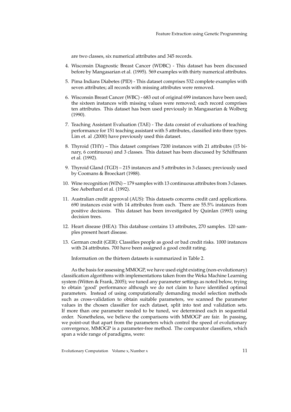are two classes, six numerical attributes and 345 records.

- 4. Wisconsin Diagnostic Breast Cancer (WDBC) This dataset has been discussed before by Mangasarian et al. (1995). 569 examples with thirty numerical attributes.
- 5. Pima Indians Diabetes (PID) This dataset comprises 532 complete examples with seven attributes; all records with missing attributes were removed.
- 6. Wisconsin Breast Cancer (WBC) 683 out of original 699 instances have been used; the sixteen instances with missing values were removed; each record comprises ten attributes. This dataset has been used previously in Mangasarian & Wolberg (1990).
- 7. Teaching Assistant Evaluation (TAE) The data consist of evaluations of teaching performance for 151 teaching assistant with 5 attributes, classified into three types. Lim et. al .(2000) have previously used this dataset.
- 8. Thyroid (THY) This dataset comprises 7200 instances with 21 attributes (15 binary, 6 continuous) and 3 classes. This dataset has been discussed by Schiffmann et al. (1992).
- 9. Thyroid Gland (TGD) 215 instances and 5 attributes in 3 classes; previously used by Coomans & Broeckart (1988).
- 10. Wine recognition (WIN) 179 samples with 13 continuous attributes from 3 classes. See Aeberhard et al. (1992).
- 11. Australian credit approval (AUS): This datasets concerns credit card applications. 690 instances exist with 14 attributes from each. There are 55.5% instances from positive decisions. This dataset has been investigated by Quinlan (1993) using decision trees.
- 12. Heart disease (HEA): This database contains 13 attributes, 270 samples. 120 samples present heart disease.
- 13. German credit (GER): Classifies people as good or bad credit risks. 1000 instances with 24 attributes. 700 have been assigned a good credit rating.

Information on the thirteen datasets is summarized in Table 2.

As the basis for assessing MMOGP, we have used eight existing (non-evolutionary) classification algorithms with implementations taken from the Weka Machine Learning system (Witten & Frank, 2005); we tuned any parameter settings as noted below, trying to obtain 'good' performance although we do not claim to have identified optimal parameters. Instead of using computationally demanding model selection methods such as cross-validation to obtain suitable parameters, we scanned the parameter values in the chosen classifier for each dataset, split into test and validation sets. If more than one parameter needed to be tuned, we determined each in sequential order. Nonetheless, we believe the comparisons with MMOGP are fair. In passing, we point-out that apart from the parameters which control the speed of evolutionary convergence, MMOGP is a parameter-free method. The comparator classifiers, which span a wide range of paradigms, were: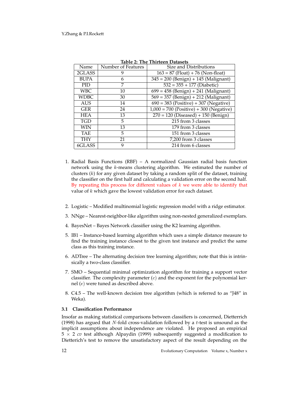| Name        | Number of Features | Size and Distributions                             |
|-------------|--------------------|----------------------------------------------------|
| 2GLASS      | 9                  | $163 = 87$ (Float) + 76 (Non-float)                |
| <b>BUPA</b> | 6                  | $345 = 200$ (Benign) + 145 (Malignant)             |
| <b>PID</b>  | 7                  | $532 = 355 + 177$ (Diabetic)                       |
| <b>WBC</b>  | 10                 | $699 = 458$ (Benign) + 241 (Malignant)             |
| <b>WDBC</b> | 30                 | $569 = 357$ (Benign) + 212 (Malignant)             |
| <b>AUS</b>  | 14                 | $\overline{690} = 383$ (Positive) + 307 (Negative) |
| <b>GER</b>  | 24                 | $1,000 = 700$ (Positive) + 300 (Negative)          |
| <b>HEA</b>  | 13                 | $270 = 120$ (Diseased) + 150 (Benign)              |
| <b>TGD</b>  | 5                  | 215 from 3 classes                                 |
| WIN         | 13                 | 179 from 3 classes                                 |
| <b>TAE</b>  | 5                  | 151 from 3 classes                                 |
| <b>THY</b>  | 21                 | 7,200 from 3 classes                               |
| 6GLASS      | 9                  | 214 from 6 classes                                 |

**Table 2: The Thirteen Datasets**

- 1. Radial Basis Functions (RBF) A normalized Gaussian radial basis function network using the k-means clustering algorithm. We estimated the number of clusters  $(k)$  for any given dataset by taking a random split of the dataset, training the classifier on the first half and calculating a validation error on the second half. By repeating this process for different values of  $k$  we were able to identify that value of k which gave the lowest validation error for each dataset.
- 2. Logistic Modified multinomial logistic regression model with a ridge estimator.
- 3. NNge Nearest-neighbor-like algorithm using non-nested generalized exemplars.
- 4. BayesNet Bayes Network classifier using the K2 learning algorithm.
- 5. IB1 Instance-based learning algorithm which uses a simple distance measure to find the training instance closest to the given test instance and predict the same class as this training instance.
- 6. ADTree The alternating decision tree learning algorithm; note that this is intrinsically a two-class classifier.
- 7. SMO Sequential minimal optimization algorithm for training a support vector classifier. The complexity parameter  $(c)$  and the exponent for the polynomial kernel (e) were tuned as described above.
- 8. C4.5 The well-known decision tree algorithm (which is referred to as "J48" in Weka).

## **3.1 Classification Performance**

Insofar as making statistical comparisons between classifiers is concerned, Dietterrich (1998) has argued that  $N$ -fold cross-validation followed by a  $t$ -test is unsound as the implicit assumptions about independence are violated. He proposed an empirical 5 × 2 *cv* test although Alpaydin (1999) subsequently suggested a modification to Dietterich's test to remove the unsatisfactory aspect of the result depending on the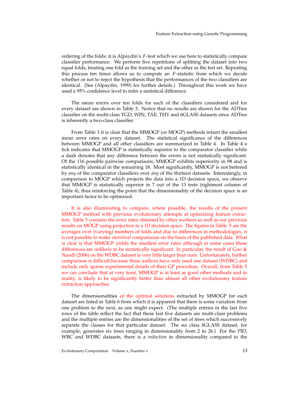ordering of the folds: it is Alpaydin's F-test which we use here to statistically compare classifier performance. We perform five repetitions of splitting the dataset into two equal folds, treating one fold as the training set and the other as the test set. Repeating this process ten times allows us to compute an  $F$ -statistic from which we decide whether or not to reject the hypothesis that the performances of the two classifiers are identical. (See (Alpaydin, 1999) for further details.) Throughout this work we have used a 95% confidence level to infer a statistical difference.

The mean errors over ten folds for each of the classifiers considered and for every dataset are shown in Table 3. Notice that no results are shown for the ADTree classifier on the multi-class TGD, WIN, TAE, THY and 6GLASS datasets since ADTree is inherently a two-class classifier.

From Table 3 it is clear that the MMOGP (or MOGP) methods return the smallest mean error rates on every dataset. The statistical significance of the differences between MMOGP and all other classifiers are summarized in Table 4. In Table 4 a tick indicates that MMOGP is statistically superior to the comparator classifier while a dash denotes that any difference between the errors is not statistically significant. Of the 116 possible pairwise comparisons, MMOGP exhibits superiority in 98 and is statistically identical in the remaining 18. Most significantly, MMOGP is not bettered by *any* of the comparator classifiers over *any* of the thirteen datasets. Interestingly, in comparison to MOGP which projects the data into a 1D decision space, we observe that MMOGP is statistically superior in 7 out of the 13 tests (rightmost column of Table 4), thus reinforcing the point that the dimensionality of the decision space is an important factor to be optimized.

It is also illuminating to compare, where possible, the results of the present MMOGP method with previous evolutionary attempts at optimizing feature extractors. Table 5 contains the error rates obtained by other workers as well as our previous results on MOGP using projection to a 1D decision space. The figures in Table 5 are the averages over (varying) numbers of folds and due to differences in methodologies, it is not possible to make *statistical* comparisons on the basis of the published data. What is clear is that MMOGP yields the smallest error rates although in some cases these differences are unlikely to be statistically significant. In particular, the result of Guo & Nandi (2006) on the WDBC dataset is very little larger than ours. Unfortunately, further comparison is difficult because these authors have only used one dataset (WDBC) and include only sparse experimental details of their GP procedure. Overall, from Table 5 we can conclude that at very least, MMOGP is at least as good other methods and in reality, is likely to be significantly better than almost all other evolutionary feature extraction approaches.

The dimensionalities of the optimal solutions extracted by MMOGP for each dataset are listed in Table 6 from which it is apparent that there is some variation from one problem to the next, as one might expect. (The multiple entries in the last five rows of the table reflect the fact that these last five datasets are multi-class problems and the multiple entries are the dimensionalities of the set of trees which successively separate the classes for that particular dataset. The six class 6GLASS dataset, for example, generates six trees ranging in dimensionality from 2 to 26.) For the PID, WBC and WDBC datasets, there is a *reduction* in dimensionality compared to the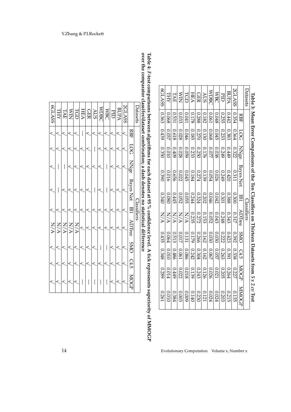| 0.261         | 0.289  | 0.348        | 0.435      | N/M                | 0340         | 0.390                                                                                                     | 0350        | 0.439 | 0.363        | 6GLASS        |
|---------------|--------|--------------|------------|--------------------|--------------|-----------------------------------------------------------------------------------------------------------|-------------|-------|--------------|---------------|
| 01010         | 10.014 | 0.010        | 0.064      | <b>N/A</b>         | 0.080        | 0.016                                                                                                     | 0.010       | 0.037 | 0.068        | THY           |
| 0.384         | 6##0   | 0.486        | 0.513      | <b>N/A</b>         | <b>C445</b>  | 9990                                                                                                      | 6070        | 0.618 | <b>D.531</b> | TAE           |
| 0.003         | 0.022  | 0.061        | 710.0      | <b>N/A</b>         | <b>0.052</b> | 0.022                                                                                                     | 0.028       | 0.028 | 0.033        | ≲<br>Σ        |
| 6000          | 810.0  | 0.086        | 0.131      | N/A                | 0.055        | 0.045                                                                                                     | 690'0       | 0.046 | 0.041        | LCD           |
| 0.140         | 0.139  | 0.242        | 0.179      | 0.235              | 0.244        | 0.184                                                                                                     | 0.233       | 0.185 | 0.178        | <b>HEA</b>    |
| 0.230         | 0.243  | 0.304        | 0.266      | 0.272              | 0.324        | 0.274                                                                                                     | 0.250       | 0.270 | 0.288        | <b>GER</b>    |
| 0.121         | 0.126  | 0.162        | 0.162      | 0.153              | 0.202        | 0.139                                                                                                     | 0.176       | 0.130 | 0.182        | <b>AUS</b>    |
| 0.024         | 0.026  | 0.067        | 0.030      | 0.052              | 0.046        | 120.054                                                                                                   | 770.0       | 0.068 | 0.061        | MDBC          |
| 0.024         | 0.021  | <b>ZSO°0</b> | 0.030      | 0.043              | 0.042        | 0.026                                                                                                     | 820.0       | 0.045 | 8700         | <b>MBC</b>    |
| 0.203         | 0.205  | 0.263        | 0.222      | 0.248              | 0.301        | 6749                                                                                                      | 0.249       | 0.233 | 0.255        | E             |
| 0.215         | 0.264  | 0.391        | 0.423      | 0.343              | 0.388        | 0.420                                                                                                     | 6#49        | 0.383 | 0.442        | <b>BUPA</b>   |
| 0.135         | 0.227  | 0.338        | 0.392      | 0.317              | 0.300        | 0.311                                                                                                     | 0.322       | 0.364 | 0.354        | <b>2GLASS</b> |
| <b>NNNOCT</b> | MOGP   | C4.5         | <b>SMO</b> | ${\rm ADTree}$     | <b>IB1</b>   | Bayes Net                                                                                                 | <b>NNge</b> | 500   | RBF          |               |
|               |        |              |            | <u>Classifiers</u> |              |                                                                                                           |             |       |              | Datasets      |
|               |        |              |            |                    |              | $I$ able $S$ . Near First Comparisons of the Ten Classifiers on Thirteen Datasets from 5.8.7 $\beta$ Test |             |       |              |               |



14 Evolutionary Computation Volume x, Number x

**Table 4:** *F***-test comparisons between algorithms for each dataset at 95 % confidence level. A tick represesntssuperiority of MMOGP over the comparatorclassifer/datasetcombination; a dash denotes no statisticaldifference**

| 6GLASS | <b>THY</b> | TAE | <b>NIN</b>              | TGD | <b>HEA</b> | <b>GER</b> | <b>AUS</b> | <b>WDBC</b> | <b>MBC</b> | $\overline{\text{PID}}$ | <b>BUPA</b> | <b>SCLASS</b> |                          | Datasets    |
|--------|------------|-----|-------------------------|-----|------------|------------|------------|-------------|------------|-------------------------|-------------|---------------|--------------------------|-------------|
|        |            |     |                         |     | I          |            |            |             |            |                         |             |               | <b>RBF</b>               |             |
|        |            |     |                         |     |            |            | I          |             |            |                         |             |               | 5001                     |             |
|        |            |     |                         |     |            |            |            |             | I          |                         |             |               | $\overline{\text{NNge}}$ |             |
|        |            |     |                         |     |            |            |            |             |            |                         |             |               | <b>Bayes Net</b>         |             |
|        |            |     |                         |     |            |            |            |             |            |                         |             |               | <b>IB1</b>               | Classifiers |
|        |            |     | <b>NANANY</b><br>NANANY |     |            |            |            |             |            |                         |             |               | ADIree SMO               |             |
|        |            |     |                         |     |            |            |            |             | I          |                         |             |               |                          |             |
|        |            |     |                         |     |            |            |            |             |            |                         |             |               | C4.5                     |             |
|        |            |     |                         |     |            |            |            |             |            |                         |             |               | MOGE                     |             |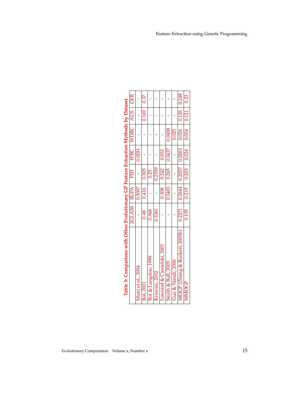| Table 5: Comparison with Other Evolutionary GP Feature Extraction Methods by Dataset | 2GLASS   BUPA |        | $\overline{P}$ |                            | WBC   WDBC   AUS   GER |       |       |
|--------------------------------------------------------------------------------------|---------------|--------|----------------|----------------------------|------------------------|-------|-------|
| Muni et al., 2004                                                                    |               | 0.3007 |                | 0.0281                     |                        |       |       |
| Bot, 2001                                                                            | 0.48          | 0.416  | 0.305          |                            |                        | 0.169 | 0.37  |
| Bot & Langdon, 1999                                                                  | 0.368         |        | 0.25           |                            |                        |       |       |
| Krawiec, 2002                                                                        | 0.3361        |        | 0.2359         |                            |                        |       |       |
| Loveard & Ciesielski, 2001                                                           |               | 0.308  | 0.242          | 0.032                      |                        |       |       |
| Smith & Bull, 2005                                                                   |               |        |                | $0.3403$   0.265   0.0437  | 0.0438                 |       |       |
| Guo & Nandi, 2006                                                                    |               |        |                |                            | 0.025                  |       |       |
| MOGP (Zhang & Rockett, 2005b)                                                        | 0.2271        |        |                | $0.2644$   0.2057   0.0263 | $0.026$ $0.126$        |       | 0.248 |
| MMOGP                                                                                | 0.135         |        |                | $0.215$   0.203   0.024    | $0.024$   0.121        |       | 0.23  |
|                                                                                      |               |        |                |                            |                        |       |       |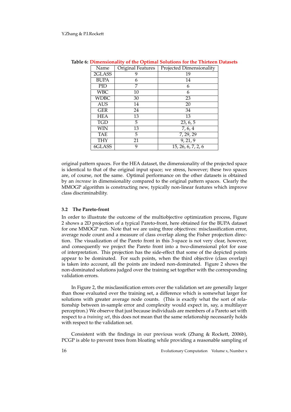| Name        | Original Features | Projected Dimensionality         |
|-------------|-------------------|----------------------------------|
| 2GLASS      | 9                 | 19                               |
| <b>BUPA</b> | 6                 | 14                               |
| PID         | 7                 | 6                                |
| <b>WBC</b>  | 10                | 6                                |
| <b>WDBC</b> | 30                | 23                               |
| <b>AUS</b>  | 14                | 20                               |
| <b>GER</b>  | 24                | 34                               |
| HEA         | 13                | 13                               |
| <b>TGD</b>  | 5                 | 23, 6, 5                         |
| WIN         | 13                | 7, 6, 4                          |
| <b>TAE</b>  | 5                 | 7, 29, 29                        |
| <b>THY</b>  | 21                | 9, 21, 9                         |
| 6GLASS      | 9                 | $\overline{15}$ , 26, 6, 7, 2, 6 |

**Table 6: Dimensionality of the Optimal Solutions for the Thirteen Datasets**

original pattern spaces. For the HEA dataset, the dimensionality of the projected space is identical to that of the original input space; we stress, however; these two spaces are, of course, not the same. Optimal performance on the other datasets is obtained by an *increase* in dimensionality compared to the original pattern spaces. Clearly the MMOGP algorithm is constructing new, typically non-linear features which improve class discriminability.

### **3.2 The Pareto-front**

In order to illustrate the outcome of the multiobjective optimization process, Figure 2 shows a 2D projection of a typical Pareto-front, here obtained for the BUPA dataset for one MMOGP run. Note that we are using three objectives: misclassification error, average node count and a measure of class overlap along the Fisher projection direction. The visualization of the Pareto front in this 3-space is not very clear, however, and consequently we project the Pareto front into a two-dimensional plot for ease of interpretation. This projection has the side-effect that some of the depicted points appear to be dominated. For such points, when the third objective (class overlap) is taken into account, all the points are indeed non-dominated. Figure 2 shows the non-dominated solutions judged over the training set together with the corresponding validation errors.

In Figure 2, the misclassification errors over the validation set are generally larger than those evaluated over the training set, a difference which is somewhat larger for solutions with greater average node counts. (This is exactly what the sort of relationship between in-sample error and complexity would expect in, say, a multilayer perceptron.) We observe that just because individuals are members of a Pareto set with respect to a *training set*, this does not mean that the same relationship necessarily holds with respect to the validation set.

Consistent with the findings in our previous work (Zhang & Rockett, 2006b), PCGP is able to prevent trees from bloating while providing a reasonable sampling of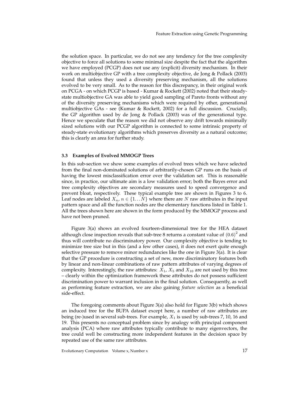the solution space. In particular, we do not see any tendency for the tree complexity objective to force all solutions to some minimal size despite the fact that the algorithm we have employed (PCGP) does not use any (explicit) diversity mechanism. In their work on multiobjective GP with a tree complexity objective, de Jong & Pollack (2003) found that unless they used a diversity preserving mechanism, all the solutions evolved to be very small. As to the reason for this discrepancy, in their original work on PCGA - on which PCGP is based - Kumar & Rockett (2002) noted that their steadystate multiobjective GA was able to yield good sampling of Pareto fronts without any of the diversity preserving mechanisms which were required by other, generational multiobjective GAs - see (Kumar & Rockett, 2002) for a full discussion. Crucially, the GP algorithm used by de Jong & Pollack (2003) was of the generational type. Hence we speculate that the reason we did not observe any drift towards minimally sized solutions with our PCGP algorithm is connected to some intrinsic property of steady-state evolutionary algorithms which preserves diversity as a natural outcome; this is clearly an area for further study.

## **3.3 Examples of Evolved MMOGP Trees**

In this sub-section we show some examples of evolved trees which we have selected from the final non-dominated solutions of arbitrarily-chosen GP runs on the basis of having the lowest misclassification error over the validation set. This is reasonable since, in practice, our ultimate aim is a low validation error; both the Bayes error and tree complexity objectives are secondary measures used to speed convergence and prevent bloat, respectively. These typical example tree are shown in Figures 3 to 6. Leaf nodes are labeled  $X_n$ ,  $n \in \{1...N\}$  where there are N raw attributes in the input pattern space and all the function nodes are the elementary functions listed in Table 1. All the trees shown here are shown in the form produced by the MMOGP process and have not been pruned.

Figure 3(a) shows an evolved fourteen-dimensional tree for the HEA dataset although close inspection reveals that sub-tree 8 returns a constant value of  $(0.6)^2$  and thus will contribute no discriminatory power. Our complexity objective is tending to minimize tree size but in this (and a few other cases), it does not exert quite enough selective pressure to remove minor redundancies like the one in Figure 3(a). It is clear that the GP procedure is constructing a set of new, more discriminatory features both by linear and non-linear combinations of raw pattern attributes of varying degrees of complexity. Interestingly, the raw attributes:  $X_1$ ,  $X_5$  and  $X_{10}$  are not used by this tree – clearly within the optimization framework these attributes do not possess sufficient discrimination power to warrant inclusion in the final solution. Consequently, as well as performing feature extraction, we are also gaining *feature selection* as a beneficial side-effect.

The foregoing comments about Figure 3(a) also hold for Figure 3(b) which shows an induced tree for the BUPA dataset except here, a number of raw attributes are being (re-)used in several sub-trees. For example,  $X_1$  is used by sub-trees 7, 10, 16 and 19. This presents no conceptual problem since by analogy with principal component analysis (PCA) where raw attributes typically contribute to many eigenvectors, the tree could well be constructing more independent features in the decision space by repeated use of the same raw attributes.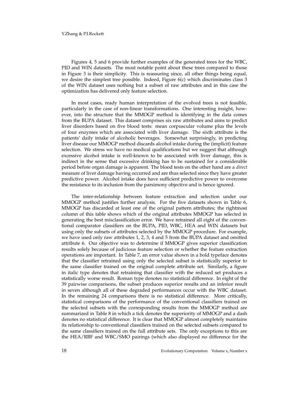Figures 4, 5 and 6 provide further examples of the generated trees for the WBC, PID and WIN datasets. The most notable point about these trees compared to those in Figure 3 is their simplicity. This is reassuring since, all other things being equal, we desire the simplest tree possible. Indeed, Figure 6(c) which discriminates class 3 of the WIN dataset uses nothing but a subset of raw attributes and in this case the optimization has delivered only feature selection.

In most cases, ready human interpretation of the evolved trees is not feasible, particularly in the case of non-linear transformations. One interesting insight, however, into the structure that the MMOGP method is identifying in the data comes from the BUPA dataset. This dataset comprises six raw attributes and aims to predict liver disorders based on five blood tests: mean corpuscular volume plus the levels of four enzymes which are associated with liver damage. The sixth attribute is the patients' daily intake of alcoholic beverages. Somewhat surprisingly, in predicting liver disease our MMOGP method discards alcohol intake during the (implicit) feature selection. We stress we have no medical qualifications but we suggest that although excessive alcohol intake is well-known to be associated with liver damage, this is indirect in the sense that excessive drinking has to be sustained for a considerable period before organ damage is apparent. The blood tests on the other hand are a *direct* measure of liver damage having occurred and are thus selected since they have greater predictive power. Alcohol intake does have sufficient predictive power to overcome the resistance to its inclusion from the parsimony objective and is hence ignored.

The inter-relationship between feature extraction and selection under our MMOGP method justifies further analysis. For the five datasets shown in Table 6, MMOGP has discarded at least one of the original pattern attributes; the rightmost column of this table shows which of the original attributes MMOGP has selected in generating the best misclassification error. We have retrained all eight of the conventional comparator classifiers on the BUPA, PID, WBC, HEA and WIN datasets but using only the subsets of attributes selected by the MMOGP procedure. For example, we have used only raw attributes 1, 2, 3, 4 and 5 from the BUPA dataset and omitted attribute 6. Our objective was to determine if MMOGP gives superior classification results solely because of judicious feature selection or whether the feature extraction operations are important. In Table 7, an error value shown in a bold typeface denotes that the classifier retrained using only the selected subset is statistically superior to the same classifier trained on the original complete attribute set. Similarly, a figure in italic type denotes that retraining that classifier with the reduced set produces a statistically worse result. Roman type denotes no statistical difference. In eight of the 39 pairwise comparisons, the subset produces superior results and an inferior result in seven although all of these degraded performances occur with the WBC dataset. In the remaining 24 comparisons there is no statistical difference. More critically, statistical comparisons of the performance of the conventional classifiers trained on the selected subsets with the corresponding results from the MMOGP method are summarized in Table 8 in which a tick denotes the superiority of MMOGP and a dash denotes no statistical difference. It is clear that MMOGP almost completely maintains its relationship to conventional classifiers trained on the selected subsets compared to the same classifiers trained on the full attribute sets. The only exceptions to this are the HEA/RBF and WBC/SMO pairings (which also displayed no difference for the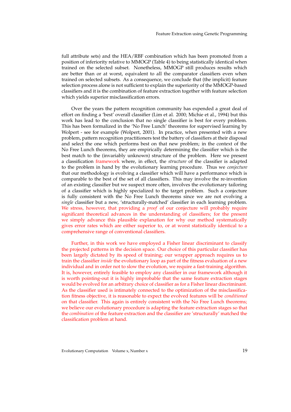Feature Extraction using Genetic Programming

full attribute sets) and the HEA/RBF combination which has been promoted from a position of inferiority relative to MMOGP (Table 4) to being statistically identical when trained on the selected subset. Nonetheless, MMOGP still produces results which are better than or at worst, equivalent to all the comparator classifiers even when trained on selected subsets. As a consequence, we conclude that (the implicit) feature selection process alone is not sufficient to explain the superiority of the MMOGP-based classifiers and it is the combination of feature extraction together with feature selection which yields superior misclassification errors.

Over the years the pattern recognition community has expended a great deal of effort on finding a 'best' overall classifier (Lim et al. 2000; Michie et al., 1994) but this work has lead to the conclusion that no single classifier is best for every problem. This has been formalized in the 'No Free Lunch' theorems for supervised learning by Wolpert - see for example (Wolpert, 2001). In practice, when presented with a new problem, pattern recognition practitioners test the battery of classifiers at their disposal and select the one which performs best on that new problem; in the context of the No Free Lunch theorems, they are empirically determining the classifier which is the best match to the (invariably unknown) structure of the problem. Here we present a classification framework where, in effect, the *structure* of the classifier is adapted to the problem in hand by the evolutionary learning procedure. Thus we *conjecture* that our methodology is evolving a classifier which will have a performance which is comparable to the best of the set of all classifiers. This may involve the re-invention of an existing classifier but we suspect more often, involves the evolutionary tailoring of a classifier which is highly specialized to the target problem. Such a conjecture is fully consistent with the No Free Lunch theorems since we are not evolving a *single* classifier but a new, 'structurally-matched' classifier in each learning problem. We stress, however, that providing a *proof* of our conjecture will probably require significant theoretical advances in the understanding of classifiers; for the present we simply advance this plausible explanation for why our method systematically gives error rates which are either superior to, or at worst statistically identical to a comprehensive range of conventional classifiers.

Further, in this work we have employed a Fisher linear discriminant to classify the projected patterns in the decision space. Our choice of this particular classifier has been largely dictated by its speed of training; our wrapper approach requires us to train the classifier *inside* the evolutionary loop as part of the fitness evaluation of a new individual and in order not to slow the evolution, we require a fast-training algorithm. It is, however, entirely feasible to employ any classifier in our framework although it is worth pointing-out it is highly improbable that the same feature extraction stages would be evolved for an arbitrary choice of classifier as for a Fisher linear discriminant. As the classifier used is intimately connected to the optimization of the misclassification fitness objective, it is reasonable to expect the evolved features will be *conditioned* on that classifier. This again is entirely consistent with the No Free Lunch theorems; we believe our evolutionary procedure is adapting the feature extraction stages so that the *combination* of the feature extraction and the classifier are 'structurally' matched the classification problem at hand.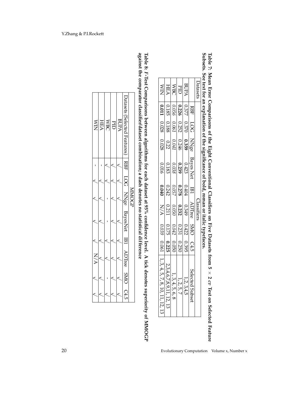| Datasets              |            |                       |                      |                                                   |                                                                                            | Classifiers           |                       |            |                                                |
|-----------------------|------------|-----------------------|----------------------|---------------------------------------------------|--------------------------------------------------------------------------------------------|-----------------------|-----------------------|------------|------------------------------------------------|
|                       | <b>RBF</b> | $\overline{50}$       | NNge                 | $\frac{1}{\sqrt{3}}$ Bayes Net                    |                                                                                            | ADTree                | SMO C4.5              |            | Selected <sup>'</sup><br>bubset                |
| <b>BUPA</b>           | 7777       | 0.370                 | 0.359                |                                                   | $\begin{array}{r}\n\cdot\quad \text{IBI}\n\\ \n\text{1} & \text{1} \\ \hline\n\end{array}$ |                       | 0.422                 | $(1.395 -$ | 1, 2, 3,                                       |
| $\frac{1}{\sqrt{18}}$ | 0.226      | $\frac{0.252}{0.061}$ | $-0.246$             | $\frac{\frac{0.423}{0.239}}{\frac{0.239}{0.038}}$ | 0.278                                                                                      | $\frac{0.349}{0.232}$ | $\frac{0.231}{0.042}$ | 0.250      | 1, 2, 5                                        |
|                       | 0.056      |                       | $\overline{0.041}$   |                                                   | 0.057                                                                                      |                       |                       | 0.050      | 1, 3, 4, 5<br>4.6, 8                           |
| <b>HEA</b>            | $-0.185$   | 0.188                 | $\frac{0.22}{0.028}$ | 0.183                                             | 0.242                                                                                      | $\frac{0.211}{NAA}$   | 7.175                 | 0.225      | 2,3,4,6,7,8,9,<br>11, 12, 13                   |
| <b>NIM</b>            | 110.011    | 80.028                |                      | 0.016                                             | 07040                                                                                      |                       | 0.039                 |            | $0.061$   1, 3, 4, 5, 7, 8, 1<br>0, 11, 12, 13 |

**Table 7: Mean Error Comparisons of the Eight ConventionalClassifiers on Five Datasets from 5** × **2** *cv* **Test on Selected Feature Subsets. See text for an explanation of the significance of bold, or italic typefaces.**

**Table 8:** *F***-Test Comparisons between algorithms for each dataset at 95% confidence level. A tick denotes superiority of MMOGP against the comparatorclassifier/datasetcombination; a dash denotes no statisticaldifference**

| Jatasets (Selected Features)<br><b>BUPA</b><br><b>HEA</b><br><b>MBC</b><br>$\sum\limits_{\rm \Sigma}$ |       |
|-------------------------------------------------------------------------------------------------------|-------|
|                                                                                                       |       |
|                                                                                                       |       |
|                                                                                                       | NNOGE |
| RBF LOG NNge BayesNet IB1 ADTree SMO C4.5                                                             |       |
|                                                                                                       |       |
|                                                                                                       |       |
|                                                                                                       |       |
|                                                                                                       |       |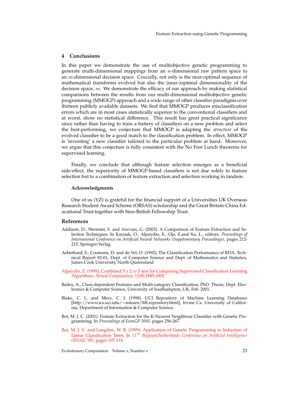## **4 Conclusions**

In this paper we demonstrate the use of multiobjective genetic programming to generate multi-dimensional mappings from an n-dimensional raw pattern space to an m-dimensional decision space. Crucially, not only is the near-optimal sequence of mathematical transforms evolved but also the (near-)optimal dimensionality of the decision space,  $m$ . We demonstrate the efficacy of our approach by making statistical comparisons between the results from our multi-dimensional multiobjective genetic programming (MMOGP) approach and a wide range of other classifier paradigms over thirteen publicly available datasets. We find that MMOGP produces misclassification errors which are in most cases statistically superior to the conventional classifiers and at worst, show no statistical difference. This result has great practical significance since rather than having to train a battery of classifiers on a new problem and select the best-performing, we conjecture that MMOGP is adapting the *structure* of the evolved classifier to be a good match to the classification problem. In effect, MMOGP is 'inventing' a new classifier tailored to the particular problem at hand. Moreover, we argue that this conjecture is fully consistent with the No Free Lunch theorems for supervised learning.

Finally, we conclude that although feature selection emerges as a beneficial side-effect, the superiority of MMOGP-based classifiers is not due solely to feature selection but to a combination of feature extraction and selection working in tandem.

## **Acknowledgments**

One of us (YZ) is grateful for the financial support of a Universities UK Overseas Research Student Award Scheme (ORSAS) scholarship and the Great Britain-China Educational Trust together with Sino-British Fellowship Trust.

## **References**

- Addison, D., Wermter, S. and Arevian, G. (2003). A Comparison of Feature Extraction and Selection Techniques. In Kaynak, O., Alpaydin, E., Oja, E.and Xu, L., editors, *Proceedings of International Conference on Artificial Neural Networks (Supplementary Proceedings)*, pages 212- 215, Springer-Verlag
- Aeberhard, S., Coomans, D. and de Vel, O. (1992), The Classification Performance of RDA. Technical Report 92-01, Dept. of Computer Science and Dept. of Mathematics and Statistics, James Cook University, North Queensland
- Alpaydin, E. (1999), Combined 5 *x* 2 *cv F*-test for Comparing Supervised Classification Learning Algorithms. *Neural Computation*, 11(8):1885-1892.
- Bailey, A., Class-dependent Features and Multi-category Classification, PhD. Thesis, Dept. Electronics & Computer Science, University of Southampton, UK, Feb. 2001.
- Blake, C. L. and Merz, C. J. (1998). UCI Repository of Machine Learning Databases [http://www.ics.uci.edu/∼mlearn/MLrepository.html], Irvine Ca. University of California, Department of Information & Computer Science.
- Bot, M. J. C. (2001). Feature Extraction for the K-Nearest Neighbour Classifier with Genetic Programming. In *Proceedings of EuroGP 2001*, pages 256-267.
- Bot, M. J. C. and Langdon, W. B. (1999). Application of Genetic Programming to Induction of Linear Classification Trees, In 11th *Belgium/Netherlands Conference on Artificial Intelligence (BNAIC'99)*, pages 107-114.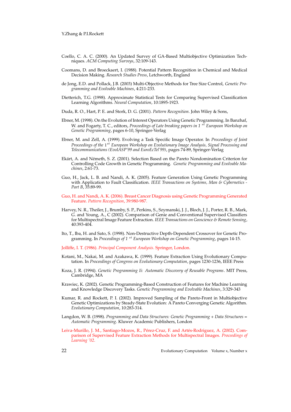- Coello, C. A. C. (2000). An Updated Survey of GA-Based Multiobjective Optimization Techniques. *ACM Computing Surveys*, 32:109-143.
- Coomans, D. and Broeckaert, I. (1988). Potential Pattern Recognition in Chemical and Medical Decision Making. *Research Studies Press*, Letchworth, England
- de Jong, E.D. and Pollack, J.B. (2003) Multi-Objective Methods for Tree Size Control, *Genetic Programming and Evolvable Machines*, 4:211-233.
- Dietterich, T.G. (1998). Approximate Statistical Tests for Comparing Supervised Classification Learning Algorithms. *Neural Computation*, 10:1895-1923.
- Duda, R. O., Hart, P. E. and Stork, D. G. (2001). *Pattern Recognition*. John Wiley & Sons,
- Ebner, M. (1998). On the Evolution of Interest Operators Using Genetic Programming. In Banzhaf, W. and Fogarty, T. C., editors, *Proceedings of Late breaking papers in* 1<sup>st</sup> *European Workshop on Genetic Programming*, pages 6-10, Springer-Verlag
- Ebner, M. and Zell, A. (1999). Evolving a Task Specific Image Operator. In *Proceedings of Joint Proceedings of the* 1st *European Workshop on Evolutionary Image Analysis, Signal Processing and Telecommunications (EvoIASP'99 and EuroEcTel'99)*, pages 74-89, Springer-Verlag
- Ekárt, A. and Németh, S. Z. (2001). Selection Based on the Pareto Nondomination Criterion for Controlling Code Growth in Genetic Programming. *Genetic Programming and Evolvable Machines*, 2:61-73.
- Guo, H., Jack, L. B. and Nandi, A. K. (2005). Feature Generation Using Genetic Programming with Application to Fault Classification. *IEEE Transactions on Systems, Man & Cybernetics - Part B*, 35:89-99.
- Guo, H. and Nandi, A. K. (2006). Breast Cancer Diagnosis using Genetic Programming Generated Feature. *Pattern Recognition*, 39:980-987.
- Harvey, N. R., Theiler, J., Brumby, S. P., Perkins, S., Szymanski, J. J., Bloch, J. J., Porter, R. B., Mark, G. and Young, A., C (2002). Comparison of Genie and Conventional Supervised Classifiers for Multispectral Image Feature Extraction. *IEEE Transactions on Geoscience & Remote Sensing*, 40:393-404.
- Ito, T., Iba, H. and Sato, S. (1998). Non-Destructive Depth-Dependent Crossover for Genetic Programming. In *Proceedings of* 1<sup>st</sup> *European Workshop on Genetic Programming*, pages 14-15.
- Jolliffe, I. T. (1986). *Principal Component Analysis*. Springer, London.
- Kotani, M., Nakai, M. and Azakawa, K. (1999). Feature Extraction Using Evolutionary Computation. In *Proceedings of Congress on Evolutionary Computation*, pages 1230-1236, IEEE Press
- Koza, J. R. (1994). *Genetic Programming Ii: Automatic Discovery of Reusable Programs*. MIT Press, Cambridge, MA
- Krawiec, K. (2002). Genetic Programming-Based Construction of Features for Machine Learning and Knowledge Discovery Tasks. *Genetic Programming and Evolvable Machines*, 3:329-343
- Kumar, R. and Rockett, P. I. (2002). Improved Sampling of the Pareto-Front in Multiobjective Genetic Optimizations by Steady-State Evolution: A Pareto Converging Genetic Algorithm. *Evolutionary Computation*, 10:283-314.
- Langdon, W. B. (1998). *Programming and Data Structures: Genetic Programming + Data Structures = Automatic Programming*. Kluwer Academic Publishers, London
- Leiva-Murillo, J. M., Santiago-Mozos, R., Pérez-Cruz, F. and Artés-Rodriguez, A. (2002). Comparison of Supervised Feature Extraction Methods for Multispectral Images. *Proceedings of Learning '02*.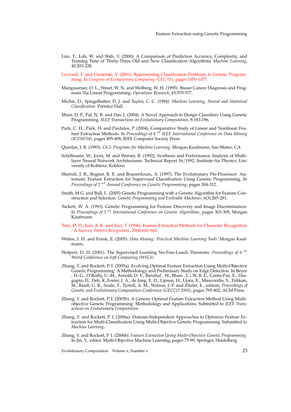- Lim, T., Loh, W. and Shih, Y. (2000). A Comparison of Prediction Accuracy, Complexity, and Training Time of Thirty-Three Old and New Classification Algorithms *Machine Learning*, 40:203-228.
- Loveard, T. and Ciesielski, V. (2001). Representing Classification Problems in Genetic Programming. In *Congress of Evolutionary Computing (CEC'01)*, pages 1070-1077.
- Mangasarian, O. L., Street, W. N. and Wolberg, W. H. (1995). Breast Cancer Diagnosis and Prognosis Via Linear Programming. *Operations Research*, 43:570-577.
- Michie, D., Spiegelhalter, D. J. and Taylor, C. C. (1994). *Machine Learning, Neural and Statistical Classification*. Prentice Hall.
- Muni, D. P., Pal, N. R. and Das, J. (2004). A Novel Approach to Design Classifiers Using Genetic Programming. *IEEE Transactions on Evolutionary Computation*, 8:183-196.
- Park, C. H., Park, H. and Pardalos, P. (2004). Comparative Study of Linear and Nonlinear Feature Extraction Methods. In *Proceedings of 4* th *IEEE International Conference on Data Mining (ICDM'04)*, pages 495-498, IEEE Computer Society Press
- Quinlan, J. R. (1993). *C4.5: Programs for Machine Learning*. Morgan Kaufmann, San Mateo, CA
- Schiffmann, W., Joost, M. and Werner, R. (1992), Synthesis and Performance Analysis of Multilayer Neural Network Architectures. Technical Report 16/1992, Institute für Physics, University of Koblenz, Koblenz
- Sherrah, J. R., Bogner, R. E. and Bouzerdoum, A. (1997). The Evolutionary Pre-Processor: Automatic Feature Extraction for Supervised Classification Using Genetic Programming. In *Proceedings of 2* nd *Annual Conference on Genetic Programming*, pages 304-312.
- Smith, M.G. and Bull, L. (2005) Genetic Programming with a Genetic Algorithm for Feature Construction and Selection. *Genetic Programming and Evolvable Machines*, 6(3):265-281.
- Tackett, W. A. (1993). Genetic Programming for Feature Discovery and Image Discrimination. In *Proceedings of 5* th *International Conference on Genetic Algorithms*, pages 303-309, Morgan Kaufmann.
- Trier, Ø. D., Jain, A. K. and Taxt, T. (1996). Feature Extraction Methods for Character Recognition - A Survey. *Pattern Recognition*, 29(4):641-662.
- Witten, I. H. and Frank, E. (2005). *Data Mining: Practical Machine Learning Tools*. Morgan Kaufmann,
- Wolpert, D. H. (2001). The Supervised Learning No-Free-Lunch Theorems. *Proceedings of 6* th *World Conference on Soft Computing (WSC6)*
- Zhang, Y. and Rockett, P. I. (2005a). Evolving Optimal Feature Extraction Using Multi-Objective Genetic Programming: A Methodology and Preliminary Study on Edge Detection. In Beyer , H.-G., O'Reilly, U.-M., Arnold, D. V., Banzhaf , W., Blum , C., W, B. E., Cantu-Paz, E., Dasgupta, D., Deb, K.,Foster, J. A., de Jong, E. D., Lipson, H., Llora, X., Mancoridis, S., Pelikan, M., Raidl, G. R., Soule, T., Tyrrell, A. M., Watson, J.-P. and Zitzler, E., editors, *Proceedings of Genetic and Evolutionary Computation Conference (GECCO 2005)*, pages 795-802, ACM Press
- Zhang, Y. and Rockett, P. I. (2005b). A Generic Optimal Feature Extraction Method Using Multiobjective Genetic Programming: Methodology and Applications. Submitted to *IEEE Transactions on Evolutionary Computation*
- Zhang, Y. and Rockett, P. I. (2006a). Domain-Independent Approaches to Optimize Feature Extraction for Multi-Classification Using Multi-Objective Genetic Programming. Submitted to *Machine Learning*.
- Zhang, Y. and Rockett, P. I. (2006b). *Feature Extraction Using Multi-Objective Genetic Programming.* In Jin, Y., editor. Multi-Objective Machine Learning, pages 75-99, Springer, Heidelberg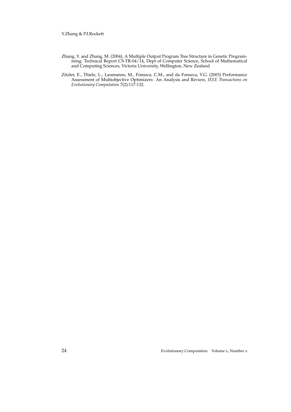Y.Zhang & P.I.Rockett

- Zhang, Y. and Zhang, M. (2004), A Multiple Output Program Tree Structure in Genetic Programming. Technical Report CS-TR-04/14, Dept of Computer Science, School of Mathematical and Computing Sciences, Victoria University, Wellington, New Zealand
- Zitzler, E., Thiele, L., Laumanns, M., Fonseca, C.M., and da Fonseca, V.G. (2003) Performance Assessment of Multiobjective Optimizers: An Analysis and Review, *IEEE Transactions on Evolutionary Computation* 7(2):117-132.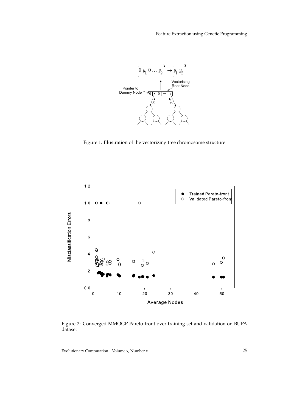Feature Extraction using Genetic Programming



Figure 1: Illustration of the vectorizing tree chromosome structure



Figure 2: Converged MMOGP Pareto-front over training set and validation on BUPA dataset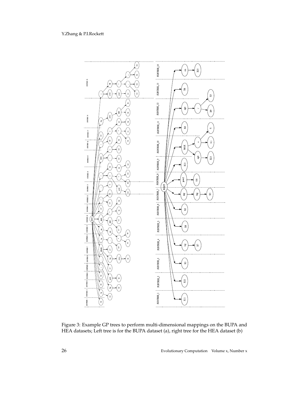

Figure 3: Example GP trees to perform multi-dimensional mappings on the BUPA and HEA datasets; Left tree is for the BUPA dataset (a), right tree for the HEA dataset (b)